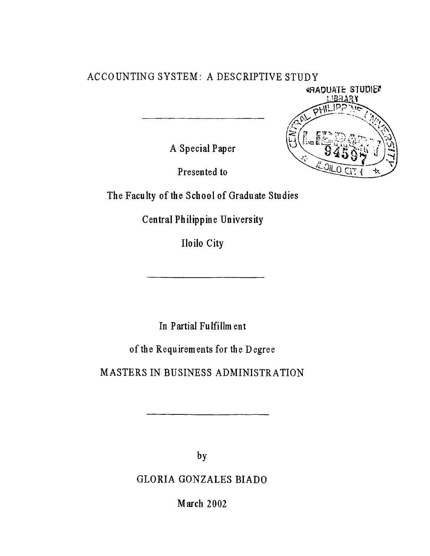# **ACCOUNTING SYSTEM : A DESCRIPTIVE STUDY**

MADUATE STUDIES **IBRARY** 

**A Special Paper**

**Presented to**

The Faculty of the School of Graduate Studies

**Central Philippine University**

**Iloilo City**

**In Partial Fulfillment**

of the Requirements for the Degree

**MASTERS IN BUSINESS ADMINISTRATION** 

**by**

**GLORIA GONZALES BIADO**

**March 2002**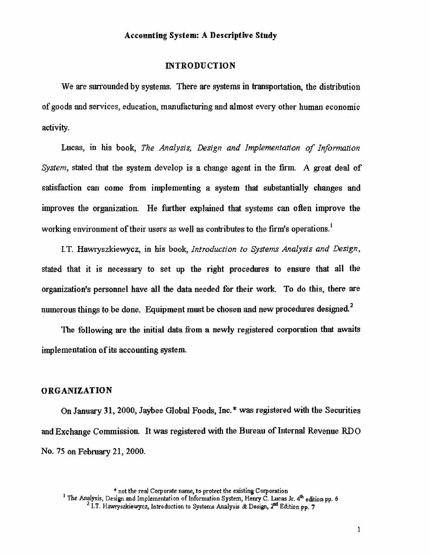#### **INTRODUCTION**

We are surrounded by systems. There are systems in transportation, the distribution of goods and services, education, manufacturing and almost every other human economic activity.

Lucas, in his book, *The Analysis*, *Design and Implementation of Information System,* stated that the system develop is a change agent in the firm. A great deal of satisfaction can come from implementing a system that substantially changes and improves the organization. He further explained that systems can often improve the working environment of their users as well as contributes to the firm's operations.<sup>1</sup>

I.T. Hawryszkiewycz, in his book, *Introduction to Systems Analysis and Design*, stated that it is necessary to set up the right procedures to ensure that all the organization's personnel have all the data needed for their work. To do this, there are 2 numerous things to be done. Equipment must be chosen and new procedures designed.

The following are the initial data from a newly registered corporation that awaits implementation of its accounting system.

## **ORGANIZATION**

On January 31, 2000, Jaybee Global Foods, Inc.\* was registered with the Securities and Exchange Commission. It was registered with the Bureau of Internal Revenue RDO No. 75 on February 21, 2000.

\* not the real Corporate name, to protect the existing Corporation

<sup>&</sup>lt;sup>1</sup> The Analysis, Design and Implementation of Information System, Henry C. Lucas Jr. 4<sup>th</sup> edition pp. 6 <sup>2</sup> I.T. Hawryszkiewycz, Introduction to Systems Analysis & Design, 2<sup>nd</sup> Edition pp. 7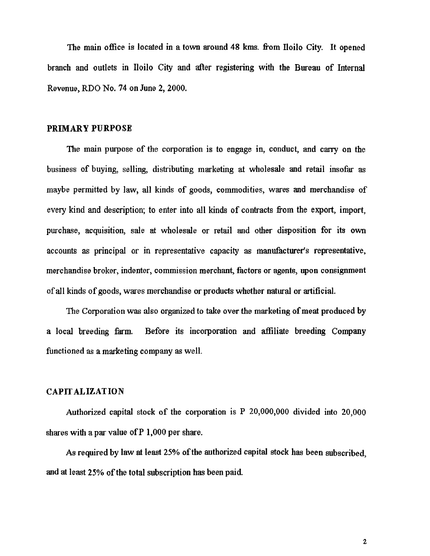The main office is located in a town around 48 kms. from Iloilo City. It opened branch and outlets in Iloilo City and after registering with the Bureau of Internal Revenue, RDO No. 74 on June 2, 2000.

## **PRIMARY PURPOSE**

The main purpose of the corporation is to engage in, conduct, and carry on the business of buying, selling, distributing marketing at wholesale and retail insofar as maybe permitted by law, all kinds of goods, commodities, wares and merchandise of every kind and description; to enter into all kinds of contracts from the export, import, purchase, acquisition, sale at wholesale or retail and other disposition for its own accounts as principal or in representative capacity as manufacturer's representative, merchandise broker, indenter, commission merchant, factors or agents, upon consignment of all kinds of goods, wares merchandise or products whether natural or artificial.

The Corporation was also organized to take over the marketing of meat produced by a local breeding farm. Before its incorporation and affiliate breeding Company functioned as a marketing company as well.

# **CAPITALIZATION**

Authorized capital stock of the corporation is P 20,000,000 divided into 20,000 shares with a par value of  $P$  1,000 per share.

As required by law at least 25% of the authorized capital stock has been subscribed, and at least 25% of the total subscription has been paid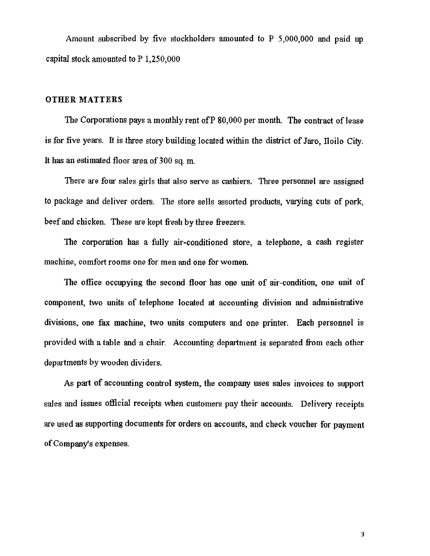Amount subscribed by five stockholders amounted to P 5,000,000 and paid up capital stock amounted to P 1,250,000

## **OTHER MATTERS**

The Corporations pays a monthly rent of P 80,000 per month. The contract of lease is for five years. It is three story building located within the district of Jaro, Iloilo City. It has an estimated floor area of 300 sq. m.

There are four sales girls that also serve as cashiers. Three personnel are assigned to package and deliver orders. The store sells assorted products, varying cuts of pork, beef and chicken. These are kept fresh by three freezers.

The corporation has a fully air-conditioned store, a telephone, a cash register machine, comfort rooms one for men and one for women.

The office occupying the second floor has one unit of air-condition, one unit of component, two units of telephone located at accounting division and administrative divisions, one fax machine, two units computers and one printer. Each personnel is provided with a table and a chair. Accounting department is separated from each other departments by wooden dividers.

As part of accounting control system, the company uses sales invoices to support sales and issues official receipts when customers pay their accounts. Delivery receipts are used as supporting documents for orders on accounts, and check voucher for payment of Company's expenses.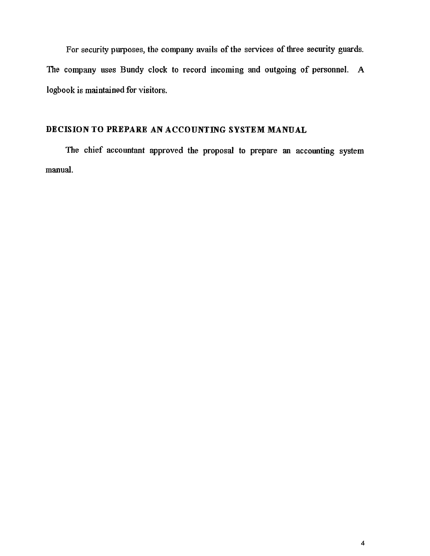For security purposes, the company avails of the services of three security guards. The company uses Bundy clock to record incoming and outgoing of personnel. A logbook is maintained for visitors.

# **DECISION TO PREPARE AN ACCOUNTING SYSTEM MANUAL**

The chief accountant approved the proposal to prepare an accounting system manual.